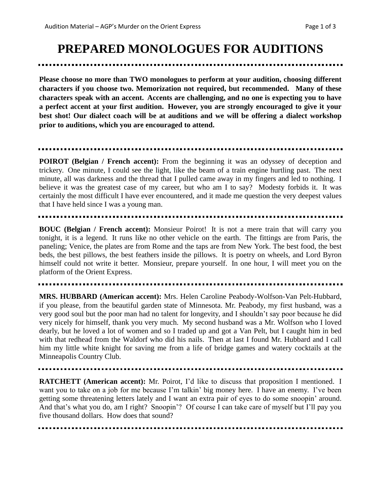## **PREPARED MONOLOGUES FOR AUDITIONS**

**Please choose no more than TWO monologues to perform at your audition, choosing different characters if you choose two. Memorization not required, but recommended. Many of these characters speak with an accent. Accents are challenging, and no one is expecting you to have a perfect accent at your first audition. However, you are strongly encouraged to give it your best shot! Our dialect coach will be at auditions and we will be offering a dialect workshop prior to auditions, which you are encouraged to attend.** 

**POIROT (Belgian** / French **accent**): From the beginning it was an odyssey of deception and trickery. One minute, I could see the light, like the beam of a train engine hurtling past. The next minute, all was darkness and the thread that I pulled came away in my fingers and led to nothing. I believe it was the greatest case of my career, but who am I to say? Modesty forbids it. It was certainly the most difficult I have ever encountered, and it made me question the very deepest values that I have held since I was a young man.

**BOUC (Belgian / French accent):** Monsieur Poirot! It is not a mere train that will carry you tonight, it is a legend. It runs like no other vehicle on the earth. The fittings are from Paris, the paneling; Venice, the plates are from Rome and the taps are from New York. The best food, the best beds, the best pillows, the best feathers inside the pillows. It is poetry on wheels, and Lord Byron himself could not write it better. Monsieur, prepare yourself. In one hour, I will meet you on the platform of the Orient Express.

**MRS. HUBBARD (American accent):** Mrs. Helen Caroline Peabody-Wolfson-Van Pelt-Hubbard, if you please, from the beautiful garden state of Minnesota. Mr. Peabody, my first husband, was a very good soul but the poor man had no talent for longevity, and I shouldn't say poor because he did very nicely for himself, thank you very much. My second husband was a Mr. Wolfson who I loved dearly, but he loved a lot of women and so I traded up and got a Van Pelt, but I caught him in bed with that redhead from the Waldorf who did his nails. Then at last I found Mr. Hubbard and I call him my little white knight for saving me from a life of bridge games and watery cocktails at the Minneapolis Country Club.

**RATCHETT (American accent):** Mr. Poirot, I'd like to discuss that proposition I mentioned. I want you to take on a job for me because I'm talkin' big money here. I have an enemy. I've been getting some threatening letters lately and I want an extra pair of eyes to do some snoopin' around. And that's what you do, am I right? Snoopin'? Of course I can take care of myself but I'll pay you five thousand dollars. How does that sound?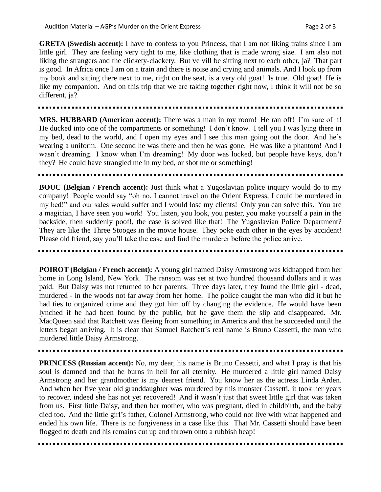**GRETA (Swedish accent):** I have to confess to you Princess, that I am not liking trains since I am little girl. They are feeling very tight to me, like clothing that is made wrong size. I am also not liking the strangers and the clickety-clackety. But ve vill be sitting next to each other, ja? That part is good. In Africa once I am on a train and there is noise and crying and animals. And I look up from my book and sitting there next to me, right on the seat, is a very old goat! Is true. Old goat! He is like my companion. And on this trip that we are taking together right now, I think it will not be so different, ja?

**MRS. HUBBARD (American accent):** There was a man in my room! He ran off! I'm sure of it! He ducked into one of the compartments or something! I don't know. I tell you I was lying there in my bed, dead to the world, and I open my eyes and I see this man going out the door. And he's wearing a uniform. One second he was there and then he was gone. He was like a phantom! And I wasn't dreaming. I know when I'm dreaming! My door was locked, but people have keys, don't they? He could have strangled me in my bed, or shot me or something!

**BOUC (Belgian / French accent):** Just think what a Yugoslavian police inquiry would do to my company! People would say "oh no, I cannot travel on the Orient Express, I could be murdered in my bed!" and our sales would suffer and I would lose my clients! Only you can solve this. You are a magician, I have seen you work! You listen, you look, you pester, you make yourself a pain in the backside, then suddenly poof!, the case is solved like that! The Yugoslavian Police Department? They are like the Three Stooges in the movie house. They poke each other in the eyes by accident! Please old friend, say you'll take the case and find the murderer before the police arrive.

**POIROT (Belgian / French accent):** A young girl named Daisy Armstrong was kidnapped from her home in Long Island, New York. The ransom was set at two hundred thousand dollars and it was paid. But Daisy was not returned to her parents. Three days later, they found the little girl - dead, murdered - in the woods not far away from her home. The police caught the man who did it but he had ties to organized crime and they got him off by changing the evidence. He would have been lynched if he had been found by the public, but he gave them the slip and disappeared. Mr. MacQueen said that Ratchett was fleeing from something in America and that he succeeded until the letters began arriving. It is clear that Samuel Ratchett's real name is Bruno Cassetti, the man who murdered little Daisy Armstrong.

**PRINCESS (Russian accent):** No, my dear, his name is Bruno Cassetti, and what I pray is that his soul is damned and that he burns in hell for all eternity. He murdered a little girl named Daisy Armstrong and her grandmother is my dearest friend. You know her as the actress Linda Arden. And when her five year old granddaughter was murdered by this monster Cassetti, it took her years to recover, indeed she has not yet recovered! And it wasn't just that sweet little girl that was taken from us. First little Daisy, and then her mother, who was pregnant, died in childbirth, and the baby died too. And the little girl's father, Colonel Armstrong, who could not live with what happened and ended his own life. There is no forgiveness in a case like this. That Mr. Cassetti should have been flogged to death and his remains cut up and thrown onto a rubbish heap!